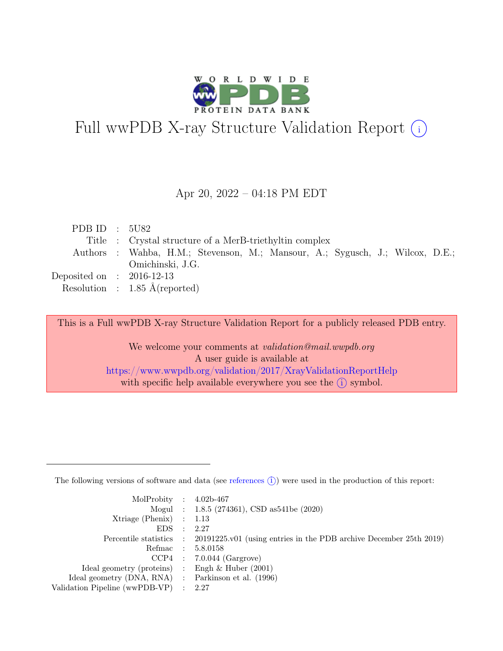

# Full wwPDB X-ray Structure Validation Report  $(i)$

#### Apr 20, 2022 – 04:18 PM EDT

| PDB ID : $5U82$             |                                                                               |
|-----------------------------|-------------------------------------------------------------------------------|
|                             | Title : Crystal structure of a MerB-triethyltin complex                       |
|                             | Authors : Wahba, H.M.; Stevenson, M.; Mansour, A.; Sygusch, J.; Wilcox, D.E.; |
|                             | Omichinski, J.G.                                                              |
| Deposited on : $2016-12-13$ |                                                                               |
|                             | Resolution : $1.85 \text{ Å}$ (reported)                                      |

This is a Full wwPDB X-ray Structure Validation Report for a publicly released PDB entry.

We welcome your comments at validation@mail.wwpdb.org A user guide is available at <https://www.wwpdb.org/validation/2017/XrayValidationReportHelp> with specific help available everywhere you see the  $(i)$  symbol.

The following versions of software and data (see [references](https://www.wwpdb.org/validation/2017/XrayValidationReportHelp#references)  $(i)$ ) were used in the production of this report:

| MolProbity : $4.02b-467$                            |                                                                                            |
|-----------------------------------------------------|--------------------------------------------------------------------------------------------|
|                                                     | Mogul : 1.8.5 (274361), CSD as 541be (2020)                                                |
| Xtriage (Phenix) $: 1.13$                           |                                                                                            |
| $EDS$ :                                             | - 2.27                                                                                     |
|                                                     | Percentile statistics : 20191225.v01 (using entries in the PDB archive December 25th 2019) |
| Refmac : 5.8.0158                                   |                                                                                            |
|                                                     | $CCP4$ : 7.0.044 (Gargrove)                                                                |
| Ideal geometry (proteins) : Engh $\&$ Huber (2001)  |                                                                                            |
| Ideal geometry (DNA, RNA) : Parkinson et al. (1996) |                                                                                            |
| Validation Pipeline (wwPDB-VP) : 2.27               |                                                                                            |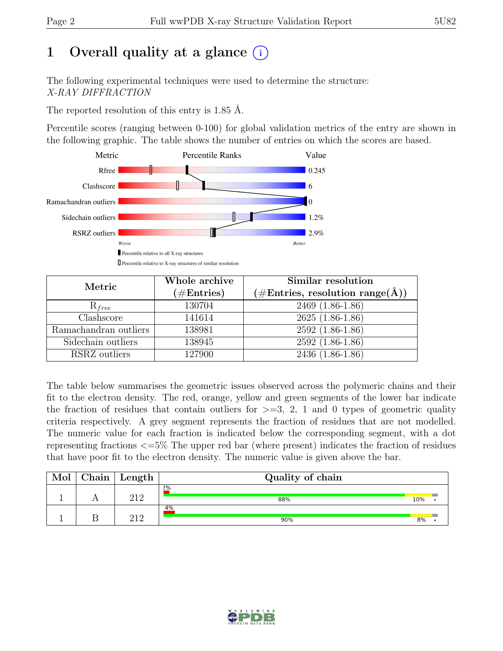# 1 Overall quality at a glance  $(i)$

The following experimental techniques were used to determine the structure: X-RAY DIFFRACTION

The reported resolution of this entry is 1.85 Å.

Percentile scores (ranging between 0-100) for global validation metrics of the entry are shown in the following graphic. The table shows the number of entries on which the scores are based.



| Metric                | Whole archive<br>$(\#Entries)$ | Similar resolution<br>$(\# \text{Entries}, \text{ resolution } \text{range}(\AA))$ |
|-----------------------|--------------------------------|------------------------------------------------------------------------------------|
| $R_{free}$            | 130704                         | 2469 (1.86-1.86)                                                                   |
| Clashscore            | 141614                         | $2625(1.86-1.86)$                                                                  |
| Ramachandran outliers | 138981                         | $2592(1.86-1.86)$                                                                  |
| Sidechain outliers    | 138945                         | $2592(1.86-1.86)$                                                                  |
| RSRZ outliers         | 127900                         | 2436 (1.86-1.86)                                                                   |

The table below summarises the geometric issues observed across the polymeric chains and their fit to the electron density. The red, orange, yellow and green segments of the lower bar indicate the fraction of residues that contain outliers for  $\geq$ =3, 2, 1 and 0 types of geometric quality criteria respectively. A grey segment represents the fraction of residues that are not modelled. The numeric value for each fraction is indicated below the corresponding segment, with a dot representing fractions <=5% The upper red bar (where present) indicates the fraction of residues that have poor fit to the electron density. The numeric value is given above the bar.

| Mol | ${\rm Chain}$ | Length | Quality of chain |     |  |
|-----|---------------|--------|------------------|-----|--|
|     |               | າ19    | $2\%$<br>88%     | 10% |  |
|     |               | 919    | 4%<br>90%        | 8%  |  |

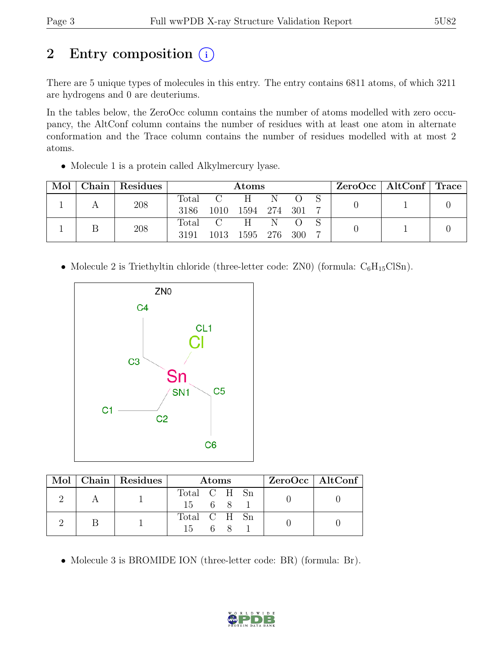# 2 Entry composition  $(i)$

There are 5 unique types of molecules in this entry. The entry contains 6811 atoms, of which 3211 are hydrogens and 0 are deuteriums.

In the tables below, the ZeroOcc column contains the number of atoms modelled with zero occupancy, the AltConf column contains the number of residues with at least one atom in alternate conformation and the Trace column contains the number of residues modelled with at most 2 atoms.

• Molecule 1 is a protein called Alkylmercury lyase.

| Mol | $\mid$ Chain $\mid$ Residues |               | <b>Atoms</b>        |                    |   |     |  | $ZeroOcc \mid AltConf \mid Trace$ |  |
|-----|------------------------------|---------------|---------------------|--------------------|---|-----|--|-----------------------------------|--|
|     | 208                          | Total<br>3186 | $\mathbf C$<br>1010 | H.<br>1594 274 301 | N |     |  |                                   |  |
|     | 208                          | 3191          | Total C<br>1013     | H<br>1595 276      | N | 300 |  |                                   |  |

• Molecule 2 is Triethyltin chloride (three-letter code: ZN0) (formula:  $C_6H_{15}ClSn$ ).



|  | Mol   Chain   Residues | <b>Atoms</b> |  |  | $ZeroOcc$   AltConf |  |  |
|--|------------------------|--------------|--|--|---------------------|--|--|
|  |                        | Total C H Sn |  |  |                     |  |  |
|  |                        | 15 6 8 1     |  |  |                     |  |  |
|  |                        | Total C H Sn |  |  |                     |  |  |
|  |                        | 15 6 8       |  |  |                     |  |  |

• Molecule 3 is BROMIDE ION (three-letter code: BR) (formula: Br).

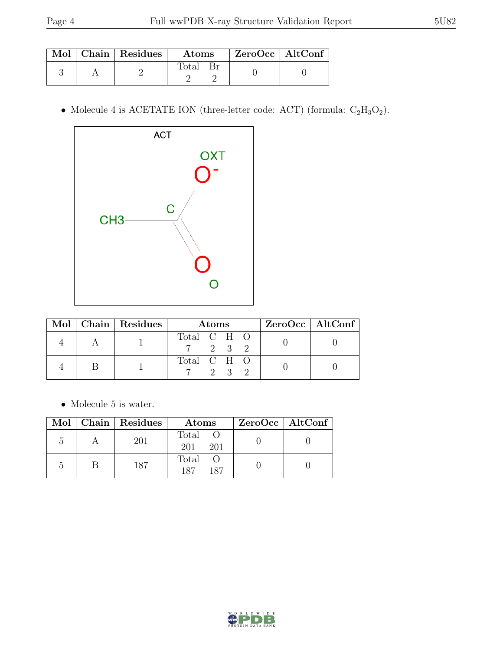|  | Mol   Chain   Residues | $\rm{Atoms}$ | $\mid$ ZeroOcc $\mid$ AltConf $\mid$ |  |
|--|------------------------|--------------|--------------------------------------|--|
|  |                        | Fotal        |                                      |  |

 $\bullet$  Molecule 4 is ACETATE ION (three-letter code: ACT) (formula:  $\mathrm{C}_2\mathrm{H}_3\mathrm{O}_2).$ 



|  | Mol   Chain   Residues | Atoms                             |  |                     | $\text{ZeroOcc} \mid \text{AltConf} \mid$ |  |
|--|------------------------|-----------------------------------|--|---------------------|-------------------------------------------|--|
|  |                        | Total C H O<br>$7 \t 2 \t 3 \t 2$ |  |                     |                                           |  |
|  |                        | Total C H O                       |  | $9 \quad 3 \quad 9$ |                                           |  |

 $\bullet\,$  Molecule 5 is water.

| Mol | $\mid$ Chain $\mid$ Residues | Atoms               | $ZeroOcc \mid AltConf \mid$ |
|-----|------------------------------|---------------------|-----------------------------|
|     | 201                          | Total<br>201<br>201 |                             |
|     | 187                          | Total<br>187<br>187 |                             |

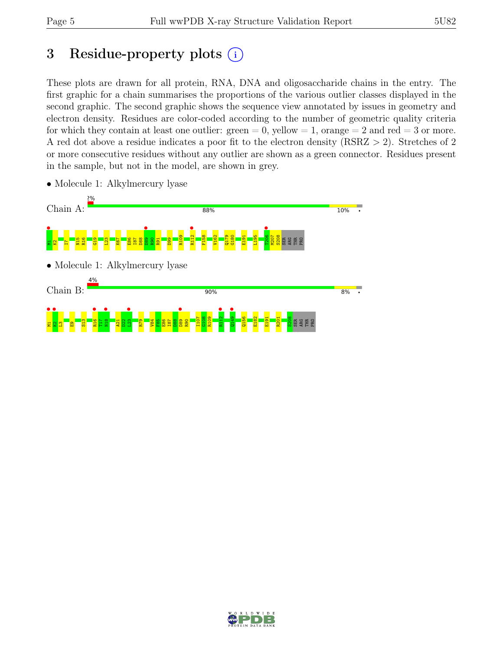# 3 Residue-property plots  $(i)$

These plots are drawn for all protein, RNA, DNA and oligosaccharide chains in the entry. The first graphic for a chain summarises the proportions of the various outlier classes displayed in the second graphic. The second graphic shows the sequence view annotated by issues in geometry and electron density. Residues are color-coded according to the number of geometric quality criteria for which they contain at least one outlier:  $green = 0$ , yellow  $= 1$ , orange  $= 2$  and red  $= 3$  or more. A red dot above a residue indicates a poor fit to the electron density (RSRZ > 2). Stretches of 2 or more consecutive residues without any outlier are shown as a green connector. Residues present in the sample, but not in the model, are shown in grey.



• Molecule 1: Alkylmercury lyase

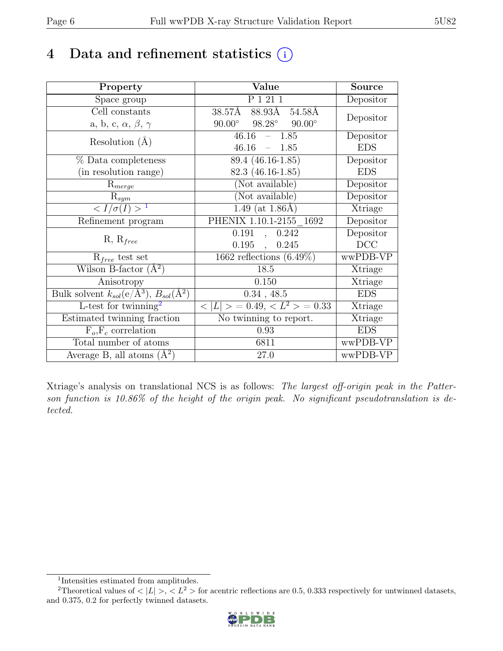# 4 Data and refinement statistics  $(i)$

| Property                                                         | Value                                           | <b>Source</b> |
|------------------------------------------------------------------|-------------------------------------------------|---------------|
| Space group                                                      | P 1 21 1                                        | Depositor     |
| Cell constants                                                   | 88.93A<br>38.57Å<br>54.58Å                      | Depositor     |
| a, b, c, $\alpha$ , $\beta$ , $\gamma$                           | $98.28^\circ$<br>$90.00^\circ$<br>$90.00^\circ$ |               |
| Resolution $(A)$                                                 | $46.16 - 1.85$                                  | Depositor     |
|                                                                  | 46.16<br>1.85<br>$\frac{1}{2}$                  | <b>EDS</b>    |
| % Data completeness                                              | $89.4(46.16-1.85)$                              | Depositor     |
| (in resolution range)                                            | 82.3 (46.16-1.85)                               | <b>EDS</b>    |
| $R_{merge}$                                                      | (Not available)                                 | Depositor     |
| $\mathrm{R}_{sym}$                                               | (Not available)                                 | Depositor     |
| $\langle I/\sigma(I) \rangle$ <sup>1</sup>                       | 1.49 (at $1.86\text{\AA}$ )                     | Xtriage       |
| Refinement program                                               | PHENIX 1.10.1-2155 1692                         | Depositor     |
|                                                                  | 0.191<br>0.242<br>$\overline{\phantom{a}}$      | Depositor     |
| $R, R_{free}$                                                    | 0.195<br>0.245<br>$\ddot{\phantom{a}}$          | DCC           |
| $R_{free}$ test set                                              | $\overline{1662}$ reflections $(6.49\%)$        | wwPDB-VP      |
| Wilson B-factor $(A^2)$                                          | 18.5                                            | Xtriage       |
| Anisotropy                                                       | 0.150                                           | Xtriage       |
| Bulk solvent $k_{sol}(\text{e}/\text{A}^3), B_{sol}(\text{A}^2)$ | $0.34$ , 48.5                                   | <b>EDS</b>    |
| L-test for twinning <sup>2</sup>                                 | $< L >$ = 0.49, $< L^2 >$ = 0.33                | Xtriage       |
| Estimated twinning fraction                                      | No twinning to report.                          | Xtriage       |
| $F_o, F_c$ correlation                                           | 0.93                                            | <b>EDS</b>    |
| Total number of atoms                                            | 6811                                            | wwPDB-VP      |
| Average B, all atoms $(A^2)$                                     | 27.0                                            | wwPDB-VP      |

Xtriage's analysis on translational NCS is as follows: The largest off-origin peak in the Patterson function is 10.86% of the height of the origin peak. No significant pseudotranslation is detected.

<sup>&</sup>lt;sup>2</sup>Theoretical values of  $\langle |L| \rangle$ ,  $\langle L^2 \rangle$  for acentric reflections are 0.5, 0.333 respectively for untwinned datasets, and 0.375, 0.2 for perfectly twinned datasets.



<span id="page-5-1"></span><span id="page-5-0"></span><sup>1</sup> Intensities estimated from amplitudes.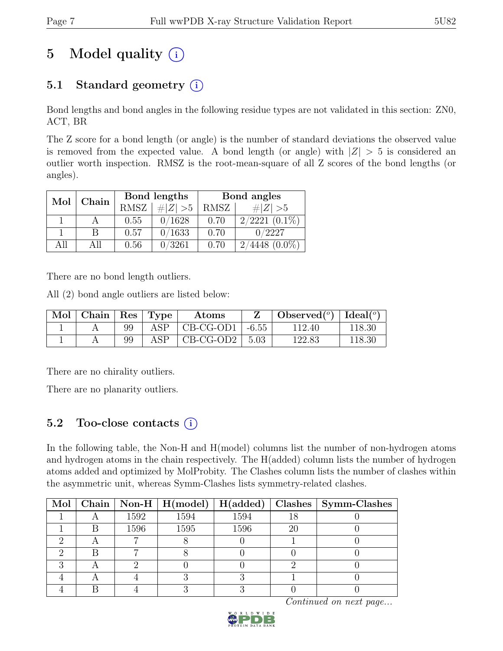# 5 Model quality  $(i)$

# 5.1 Standard geometry  $(i)$

Bond lengths and bond angles in the following residue types are not validated in this section: ZN0, ACT, BR

The Z score for a bond length (or angle) is the number of standard deviations the observed value is removed from the expected value. A bond length (or angle) with  $|Z| > 5$  is considered an outlier worth inspection. RMSZ is the root-mean-square of all Z scores of the bond lengths (or angles).

| Mol  | Chain |      | Bond lengths | Bond angles |                    |  |
|------|-------|------|--------------|-------------|--------------------|--|
|      |       | RMSZ | $\# Z  > 5$  | RMSZ        | # $ Z  > 5$        |  |
|      |       | 0.55 | 0/1628       | 0.70        | $2/2221$ $(0.1\%)$ |  |
|      | В     | 0.57 | 0/1633       | 0.70        | 0/2227             |  |
| A 11 | All   | 0.56 | 0/3261       | 0.70        | 4448<br>$(0.0\%)$  |  |

There are no bond length outliers.

All (2) bond angle outliers are listed below:

| $\mid$ Mol $\mid$ Chain $\mid$ Res $\mid$ Type |    |      | Atoms                           |      | Observed <sup>(<math>^o</math>)</sup> $\vert$ Ideal( $^o$ ) |        |
|------------------------------------------------|----|------|---------------------------------|------|-------------------------------------------------------------|--------|
|                                                | 99 | ASP. | $\vert$ CB-CG-OD1 $\vert$ -6.55 |      | 112.40                                                      | 118.30 |
|                                                | 99 | ASP  | CB-CG-OD2                       | 5.03 | 122.83                                                      | 118.30 |

There are no chirality outliers.

There are no planarity outliers.

# 5.2 Too-close contacts  $(i)$

In the following table, the Non-H and H(model) columns list the number of non-hydrogen atoms and hydrogen atoms in the chain respectively. The H(added) column lists the number of hydrogen atoms added and optimized by MolProbity. The Clashes column lists the number of clashes within the asymmetric unit, whereas Symm-Clashes lists symmetry-related clashes.

|  |      | Mol   Chain   Non-H   H(model) | H(added) |    | Clashes   Symm-Clashes |
|--|------|--------------------------------|----------|----|------------------------|
|  | 1592 | 1594                           | 1594     | 18 |                        |
|  | 1596 | 1595                           | 1596     | 20 |                        |
|  |      |                                |          |    |                        |
|  |      |                                |          |    |                        |
|  |      |                                |          |    |                        |
|  |      |                                |          |    |                        |
|  |      |                                |          |    |                        |

Continued on next page...

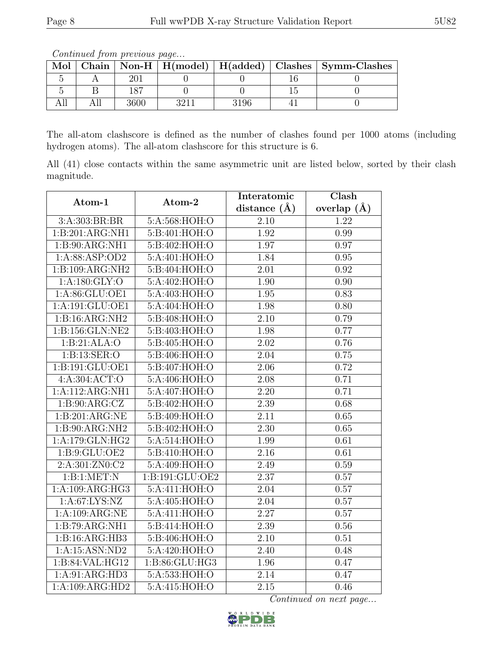The all-atom clashscore is defined as the number of clashes found per 1000 atoms (including hydrogen atoms). The all-atom clashscore for this structure is 6.

All (41) close contacts within the same asymmetric unit are listed below, sorted by their clash magnitude.

| Atom-1            | Atom-2                       | Interatomic       | $\overline{\text{Clash}}$ |  |
|-------------------|------------------------------|-------------------|---------------------------|--|
|                   |                              | distance $(A)$    | overlap $(\AA)$           |  |
| 3:A:303:BR:BR     | 5:A:568:HOH:O                | 2.10              | 1.22                      |  |
| 1:B:201:ARG:NH1   | 5: B:401: HOH:O              | 1.92              | 0.99                      |  |
| 1:B:90:ARG:NH1    | 5:B:402:HOH:O                | 1.97              | 0.97                      |  |
| 1:A:88:ASP:OD2    | 5:A:401:HOH:O                | 1.84              | 0.95                      |  |
| 1:B:109:ARG:NH2   | 5:B:404:HOH:O                | 2.01              | 0.92                      |  |
| 1: A:180: GLY:O   | 5:A:402:HOH:O                | 1.90              | 0.90                      |  |
| 1:A:86:GLU:OE1    | 5:A:403:HOH:O                | 1.95              | 0.83                      |  |
| 1:A:191:GLU:OE1   | 5:A:404:HOH:O                | 1.98              | 0.80                      |  |
| 1:B:16:ARG:NH2    | 5:B:408:HOH:O                | $\overline{2.10}$ | 0.79                      |  |
| 1:B:156:GLN:NE2   | 5:B:403:HOH:O                | 1.98              | 0.77                      |  |
| 1:B:21:ALA:O      | 5:B:405:HOH:O                | 2.02              | 0.76                      |  |
| 1:B:13:SER:O      | 5:B:406:HOH:O                | 2.04              | 0.75                      |  |
| 1:B:191:GLU:OE1   | 5:B:407:HOH:O                | 2.06              | 0.72                      |  |
| 4: A:304: ACT: O  | 5: A:406: HOH:O              | 2.08              | 0.71                      |  |
| 1:A:112:ARG:NH1   | 5:A:407:HOH:O                | 2.20              | 0.71                      |  |
| 1: B:90:ARG:CZ    | $5: B:402: H\overline{OH:O}$ | 2.39              | 0.68                      |  |
| 1:B:201:ARG:NE    | 5:B:409:HOH:O                | 2.11              | 0.65                      |  |
| 1:B:90:ARG:NH2    | 5:B:402:HOH:O                | 2.30              | 0.65                      |  |
| 1:A:179:GLN:HG2   | 5: A:514: HOH:O              | 1.99              | 0.61                      |  |
| 1: B: 9: GLU: OE2 | 5:B:410:HOH:O                | $\overline{2.16}$ | 0.61                      |  |
| 2:A:301:ZN0:C2    | 5:A:409:HOH:O                | 2.49              | 0.59                      |  |
| 1:B:1:MET:N       | 1:B:191:GLU:OE2              | 2.37              | 0.57                      |  |
| 1:A:109:ARG:HG3   | 5:A:411:HOH:O                | 2.04              | 0.57                      |  |
| 1: A:67: LYS: NZ  | 5:A:405:HOH:O                | 2.04              | 0.57                      |  |
| 1:A:109:ARG:NE    | 5:A:411:HOH:O                | $\overline{2.27}$ | 0.57                      |  |
| 1:B:79:ARG:NH1    | 5:B:414:HOH:O                | 2.39              | 0.56                      |  |
| 1:B:16:ARG:HB3    | 5:B:406:HOH:O                | 2.10              | 0.51                      |  |
| 1:A:15:ASN:ND2    | 5:A:420:HOH:O                | 2.40              | 0.48                      |  |
| 1:B:84:VAL:HG12   | 1:B:86:GLU:HG3               | 1.96              | 0.47                      |  |
| 1:A:91:ARG:HD3    | 5:A:533:HOH:O                | 2.14              | 0.47                      |  |
| 1:A:109:ARG:HD2   | $5:\overline{A:415:HOH:O}$   | 2.15              | 0.46                      |  |

Continued on next page...



Mol Chain Non-H H(model) H(added) Clashes Symm-Clashes 5 A 201 0 0 16 0 5 | B | 187 | 0 | 0 | 15 | 0 All | All | 3600 | 3211 | 3196 | 41 | 0

Continued from previous page...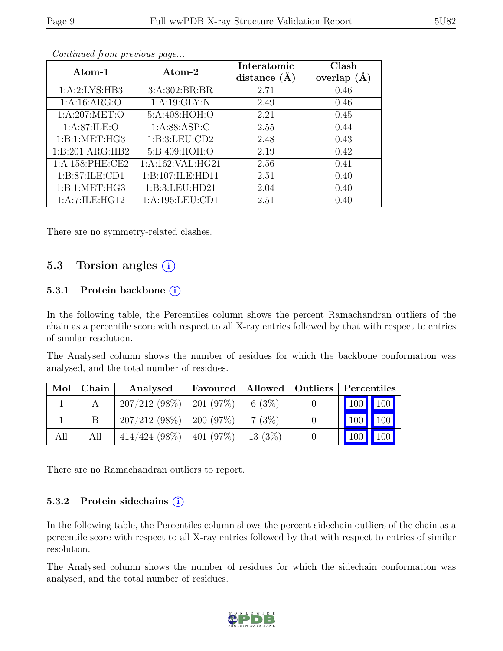| Atom-1            | Atom-2               | Interatomic<br>distance $(\AA)$ | Clash<br>overlap $(A)$ |
|-------------------|----------------------|---------------------------------|------------------------|
| 1: A:2: LYS: HB3  | 3: A:302:BR:BR       | 2.71                            | 0.46                   |
| 1: A:16: ARG:O    | 1:A:19:GLY:N         | 2.49                            | 0.46                   |
| 1: A:207: MET:O   | 5:A:408:HOH:O        | 2.21                            | 0.45                   |
| 1: A:87: ILE: O   | 1: A:88: ASP:C       | 2.55                            | 0.44                   |
| 1:B:1:MET:HG3     | 1:B:3:LEU:CD2        | 2.48                            | 0.43                   |
| 1:B:201:ARG:HB2   | 5:B:409:HOH:O        | 2.19                            | 0.42                   |
| 1: A:158: PHE:CE2 | 1: A: 162: VAL: HG21 | 2.56                            | 0.41                   |
| 1: B:87: ILE: CD1 | 1:B:107:ILE:HD11     | 2.51                            | 0.40                   |
| 1:B:1:MET:HG3     | 1:B:3:LEU:HD21       | 2.04                            | 0.40                   |
| 1:A:7:ILE:HG12    | 1: A: 195: LEU: CD1  | 2.51                            | 0.40                   |

Continued from previous page...

There are no symmetry-related clashes.

### 5.3 Torsion angles (i)

#### 5.3.1 Protein backbone  $(i)$

In the following table, the Percentiles column shows the percent Ramachandran outliers of the chain as a percentile score with respect to all X-ray entries followed by that with respect to entries of similar resolution.

The Analysed column shows the number of residues for which the backbone conformation was analysed, and the total number of residues.

| Mol | ${\bf Chain}$ | Analysed                              |       | Favoured   Allowed   Outliers   Percentiles |
|-----|---------------|---------------------------------------|-------|---------------------------------------------|
|     |               | $207/212$ (98\%)   201 (97\%)         | 6(3%) | 100 100                                     |
|     |               | $207/212$ (98\%)   200 (97\%)         | 7(3%) | $100$ 100                                   |
| All | All           | $414/424$ (98%)   401 (97%)   13 (3%) |       | 100   100                                   |

There are no Ramachandran outliers to report.

#### 5.3.2 Protein sidechains (i)

In the following table, the Percentiles column shows the percent sidechain outliers of the chain as a percentile score with respect to all X-ray entries followed by that with respect to entries of similar resolution.

The Analysed column shows the number of residues for which the sidechain conformation was analysed, and the total number of residues.

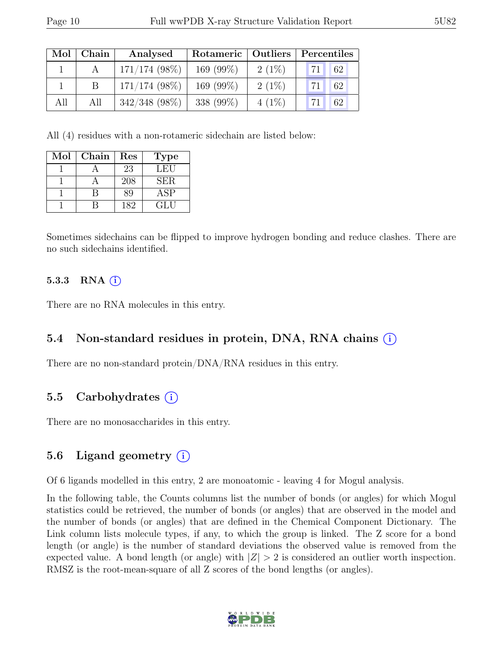| Mol | Chain | Analysed        | Rotameric   Outliers |          | Percentiles |    |
|-----|-------|-----------------|----------------------|----------|-------------|----|
|     |       | $171/174(98\%)$ | 169 $(99\%)$         | $2(1\%)$ | 71          | 62 |
|     |       | $171/174$ (98%) | 169 $(99\%)$         | $2(1\%)$ | 71          | 62 |
| All | All   | $342/348$ (98%) | 338 (99%)            | $4(1\%)$ |             | 62 |

All (4) residues with a non-rotameric sidechain are listed below:

| Mol | Chain | Res | <b>Type</b> |
|-----|-------|-----|-------------|
|     |       | 23  | LEU         |
|     |       | 208 | <b>SER</b>  |
|     |       | Rg  | ASP         |
|     |       | 182 | GLU         |

Sometimes sidechains can be flipped to improve hydrogen bonding and reduce clashes. There are no such sidechains identified.

#### 5.3.3 RNA  $(i)$

There are no RNA molecules in this entry.

### 5.4 Non-standard residues in protein, DNA, RNA chains (i)

There are no non-standard protein/DNA/RNA residues in this entry.

## 5.5 Carbohydrates  $(i)$

There are no monosaccharides in this entry.

### 5.6 Ligand geometry (i)

Of 6 ligands modelled in this entry, 2 are monoatomic - leaving 4 for Mogul analysis.

In the following table, the Counts columns list the number of bonds (or angles) for which Mogul statistics could be retrieved, the number of bonds (or angles) that are observed in the model and the number of bonds (or angles) that are defined in the Chemical Component Dictionary. The Link column lists molecule types, if any, to which the group is linked. The Z score for a bond length (or angle) is the number of standard deviations the observed value is removed from the expected value. A bond length (or angle) with  $|Z| > 2$  is considered an outlier worth inspection. RMSZ is the root-mean-square of all Z scores of the bond lengths (or angles).

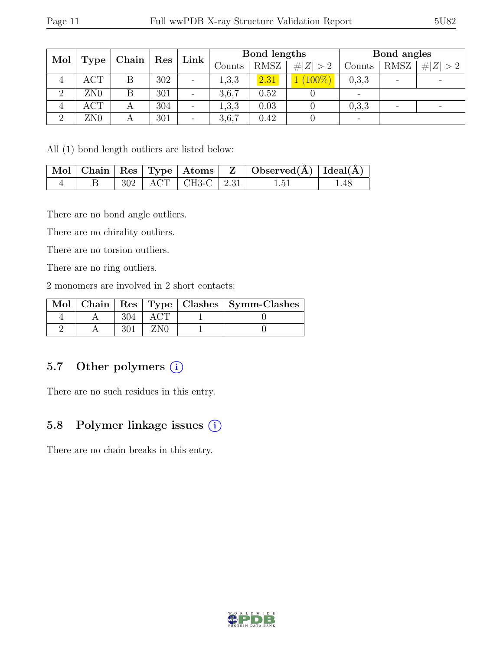| Mol<br>Type    | Chain           | $\operatorname{Res}$ | Link | Bond lengths |        |             | Bond angles |                          |                          |             |
|----------------|-----------------|----------------------|------|--------------|--------|-------------|-------------|--------------------------|--------------------------|-------------|
|                |                 |                      |      |              | Counts | <b>RMSZ</b> | # $ Z  > 2$ | Counts                   | <b>RMSZ</b>              | # $ Z  > 2$ |
| 4              | <b>ACT</b>      | Β                    | 302  | -            | 1,3,3  | 2.31        | $(100\%)$   | 0,3,3                    | $\overline{\phantom{0}}$ |             |
| $\overline{2}$ | ZN <sub>0</sub> |                      | 301  | -            | 3,6,7  | 0.52        |             | $\overline{\phantom{a}}$ |                          |             |
| 4              | ACT             | А                    | 304  |              | 1,3,3  | 0.03        |             | 0,3,3                    | $\overline{\phantom{a}}$ |             |
| $\Omega$       | ZN <sub>0</sub> |                      | 301  |              | 3,6,7  | 0.42        |             | $\overline{\phantom{0}}$ |                          |             |

All (1) bond length outliers are listed below:

|  |  |                      | Mol   Chain   Res   Type   Atoms   Z   Observed(A)   Ideal(A) |      |
|--|--|----------------------|---------------------------------------------------------------|------|
|  |  | $302$ ACT CH3-C 2.31 | 1.51                                                          | 1.48 |

There are no bond angle outliers.

There are no chirality outliers.

There are no torsion outliers.

There are no ring outliers.

2 monomers are involved in 2 short contacts:

|  |  | Mol   Chain   Res   Type   Clashes   Symm-Clashes |
|--|--|---------------------------------------------------|
|  |  |                                                   |
|  |  |                                                   |

## 5.7 Other polymers (i)

There are no such residues in this entry.

## 5.8 Polymer linkage issues (i)

There are no chain breaks in this entry.

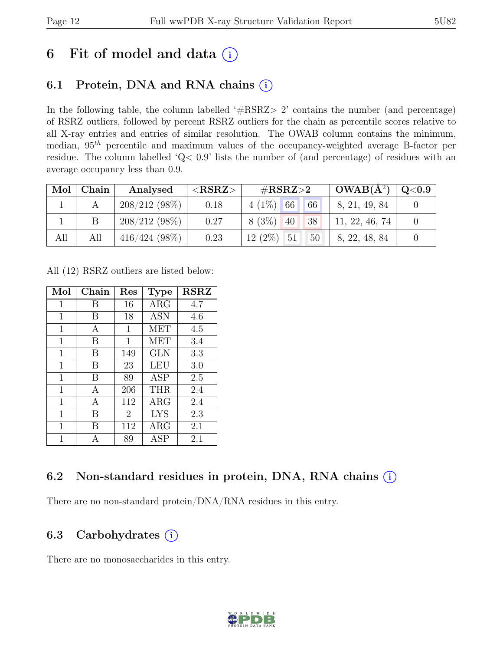# 6 Fit of model and data  $(i)$

## 6.1 Protein, DNA and RNA chains  $(i)$

In the following table, the column labelled '#RSRZ> 2' contains the number (and percentage) of RSRZ outliers, followed by percent RSRZ outliers for the chain as percentile scores relative to all X-ray entries and entries of similar resolution. The OWAB column contains the minimum, median,  $95<sup>th</sup>$  percentile and maximum values of the occupancy-weighted average B-factor per residue. The column labelled 'Q< 0.9' lists the number of (and percentage) of residues with an average occupancy less than 0.9.

| Mol | Chain | Analysed         | ${ <\hspace{-1.5pt} {\rm RSRZ}\hspace{-1.5pt}>}$ | # $RSRZ>2$                      | $\perp$ OWAB( $\rm{\AA}^{2})$ ) | $\mid \text{Q}<$ 0.9 $\mid$ |
|-----|-------|------------------|--------------------------------------------------|---------------------------------|---------------------------------|-----------------------------|
|     |       | $208/212(98\%)$  | 0.18                                             | $4(1\%)$ 66<br>$\vert 66 \vert$ | 8, 21, 49, 84                   |                             |
|     |       | $208/212(98\%)$  | 0.27                                             | $8(3\%)$<br>38<br>40            | 11, 22, 46, 74                  |                             |
| All | All   | $416/424$ (98\%) | 0.23                                             | $12(2\%)$ 51<br>$50-$           | 8, 22, 48, 84                   |                             |

All (12) RSRZ outliers are listed below:

| Mol         | Chain | $\operatorname{Res}% \left( \mathcal{N}\right) \equiv\operatorname*{Res}\left( \mathcal{N}\right)$ | <b>Type</b> | <b>RSRZ</b> |
|-------------|-------|----------------------------------------------------------------------------------------------------|-------------|-------------|
| $\mathbf 1$ | В     | 16                                                                                                 | $\rm{ARG}$  | 4.7         |
| 1           | В     | 18                                                                                                 | <b>ASN</b>  | 4.6         |
| 1           | А     | 1                                                                                                  | <b>MET</b>  | 4.5         |
| 1           | В     | 1                                                                                                  | MET         | 3.4         |
| $\mathbf 1$ | B     | 149                                                                                                | <b>GLN</b>  | 3.3         |
| 1           | B     | 23                                                                                                 | LEU         | 3.0         |
| 1           | B     | 89                                                                                                 | <b>ASP</b>  | 2.5         |
| $\mathbf 1$ | А     | 206                                                                                                | THR         | 2.4         |
| $\mathbf 1$ | A     | 112                                                                                                | $\rm{ARG}$  | 2.4         |
| 1           | В     | $\overline{2}$                                                                                     | <b>LYS</b>  | 2.3         |
| 1           | В     | 112                                                                                                | $\rm{ARG}$  | 2.1         |
| 1           | А     | 89                                                                                                 | <b>ASP</b>  | 2.1         |

## 6.2 Non-standard residues in protein, DNA, RNA chains (i)

There are no non-standard protein/DNA/RNA residues in this entry.

## 6.3 Carbohydrates  $(i)$

There are no monosaccharides in this entry.